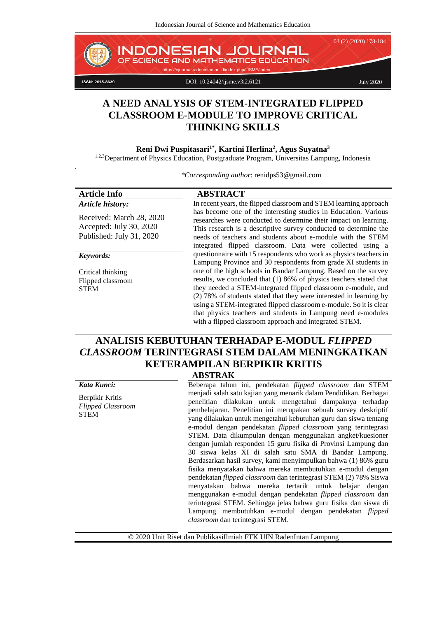

# **A NEED ANALYSIS OF STEM-INTEGRATED FLIPPED CLASSROOM E-MODULE TO IMPROVE CRITICAL THINKING SKILLS**

#### **Reni Dwi Puspitasari1\* , Kartini Herlina<sup>2</sup> , Agus Suyatna<sup>3</sup>**

.

1,2,3Department of Physics Education, Postgraduate Program, Universitas Lampung, Indonesia

*\*Corresponding author*: [renidps53@gmail.com](mailto:renidps53@gmail.com)

| <b>Article Info</b>                                                             | <b>ABSTRACT</b>                                                                                                                                                                                                                                                                                                                                                                                                                                                                                                                               |  |  |
|---------------------------------------------------------------------------------|-----------------------------------------------------------------------------------------------------------------------------------------------------------------------------------------------------------------------------------------------------------------------------------------------------------------------------------------------------------------------------------------------------------------------------------------------------------------------------------------------------------------------------------------------|--|--|
| Article history:                                                                | In recent years, the flipped classroom and STEM learning approach                                                                                                                                                                                                                                                                                                                                                                                                                                                                             |  |  |
| Received: March 28, 2020<br>Accepted: July 30, 2020<br>Published: July 31, 2020 | has become one of the interesting studies in Education. Various<br>researches were conducted to determine their impact on learning.<br>This research is a descriptive survey conducted to determine the<br>needs of teachers and students about e-module with the STEM<br>integrated flipped classroom. Data were collected using a                                                                                                                                                                                                           |  |  |
| Keywords:                                                                       | questionnaire with 15 respondents who work as physics teachers in                                                                                                                                                                                                                                                                                                                                                                                                                                                                             |  |  |
| Critical thinking<br>Flipped classroom<br><b>STEM</b>                           | Lampung Province and 30 respondents from grade XI students in<br>one of the high schools in Bandar Lampung. Based on the survey<br>results, we concluded that (1) 86% of physics teachers stated that<br>they needed a STEM-integrated flipped classroom e-module, and<br>(2) 78% of students stated that they were interested in learning by<br>using a STEM-integrated flipped classroom e-module. So it is clear<br>that physics teachers and students in Lampung need e-modules<br>with a flipped classroom approach and integrated STEM. |  |  |

# **ANALISIS KEBUTUHAN TERHADAP E-MODUL** *FLIPPED CLASSROOM* **TERINTEGRASI STEM DALAM MENINGKATKAN KETERAMPILAN BERPIKIR KRITIS**

**ABSTRAK**

| , , , , , , , , , , , , , , ,                              |                                                                                                                                                                                                                                                                                                                                                                                                                                                                                                                                                                                                                                                                                                                                                                                                                                                                                                                                                                                                                                                        |  |  |  |
|------------------------------------------------------------|--------------------------------------------------------------------------------------------------------------------------------------------------------------------------------------------------------------------------------------------------------------------------------------------------------------------------------------------------------------------------------------------------------------------------------------------------------------------------------------------------------------------------------------------------------------------------------------------------------------------------------------------------------------------------------------------------------------------------------------------------------------------------------------------------------------------------------------------------------------------------------------------------------------------------------------------------------------------------------------------------------------------------------------------------------|--|--|--|
| Kata Kunci:                                                | Beberapa tahun ini, pendekatan <i>flipped classroom</i> dan STEM                                                                                                                                                                                                                                                                                                                                                                                                                                                                                                                                                                                                                                                                                                                                                                                                                                                                                                                                                                                       |  |  |  |
| Berpikir Kritis<br><b>Flipped Classroom</b><br><b>STEM</b> | menjadi salah satu kajian yang menarik dalam Pendidikan. Berbagai<br>penelitian dilakukan untuk mengetahui dampaknya terhadap<br>pembelajaran. Penelitian ini merupakan sebuah survey deskriptif<br>yang dilakukan untuk mengetahui kebutuhan guru dan siswa tentang<br>e-modul dengan pendekatan <i>flipped classroom</i> yang terintegrasi<br>STEM. Data dikumpulan dengan menggunakan angket/kuesioner<br>dengan jumlah responden 15 guru fisika di Provinsi Lampung dan<br>30 siswa kelas XI di salah satu SMA di Bandar Lampung.<br>Berdasarkan hasil survey, kami menyimpulkan bahwa (1) 86% guru<br>fisika menyatakan bahwa mereka membutuhkan e-modul dengan<br>pendekatan <i>flipped classroom</i> dan terintegrasi STEM (2) 78% Siswa<br>menyatakan bahwa mereka tertarik untuk belajar dengan<br>menggunakan e-modul dengan pendekatan <i>flipped classroom</i> dan<br>terintegrasi STEM. Sehingga jelas bahwa guru fisika dan siswa di<br>Lampung membutuhkan e-modul dengan pendekatan <i>flipped</i><br>classroom dan terintegrasi STEM. |  |  |  |
|                                                            |                                                                                                                                                                                                                                                                                                                                                                                                                                                                                                                                                                                                                                                                                                                                                                                                                                                                                                                                                                                                                                                        |  |  |  |

© 2020 Unit Riset dan PublikasiIlmiah FTK UIN RadenIntan Lampung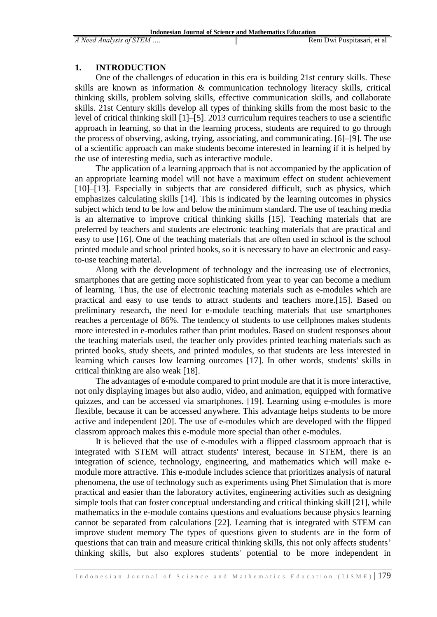### **1. INTRODUCTION**

One of the challenges of education in this era is building 21st century skills. These skills are known as information & communication technology literacy skills, critical thinking skills, problem solving skills, effective communication skills, and collaborate skills. 21st Century skills develop all types of thinking skills from the most basic to the level of critical thinking skill [1]–[5]. 2013 curriculum requires teachers to use a scientific approach in learning, so that in the learning process, students are required to go through the process of observing, asking, trying, associating, and communicating. [6]–[9]. The use of a scientific approach can make students become interested in learning if it is helped by the use of interesting media, such as interactive module.

The application of a learning approach that is not accompanied by the application of an appropriate learning model will not have a maximum effect on student achievement [10]–[13]. Especially in subjects that are considered difficult, such as physics, which emphasizes calculating skills [14]. This is indicated by the learning outcomes in physics subject which tend to be low and below the minimum standard. The use of teaching media is an alternative to improve critical thinking skills [15]. Teaching materials that are preferred by teachers and students are electronic teaching materials that are practical and easy to use [16]. One of the teaching materials that are often used in school is the school printed module and school printed books, so it is necessary to have an electronic and easyto-use teaching material.

Along with the development of technology and the increasing use of electronics, smartphones that are getting more sophisticated from year to year can become a medium of learning. Thus, the use of electronic teaching materials such as e-modules which are practical and easy to use tends to attract students and teachers more.[15]. Based on preliminary research, the need for e-module teaching materials that use smartphones reaches a percentage of 86%. The tendency of students to use cellphones makes students more interested in e-modules rather than print modules. Based on student responses about the teaching materials used, the teacher only provides printed teaching materials such as printed books, study sheets, and printed modules, so that students are less interested in learning which causes low learning outcomes [17]. In other words, students' skills in critical thinking are also weak [18].

The advantages of e-module compared to print module are that it is more interactive, not only displaying images but also audio, video, and animation, equipped with formative quizzes, and can be accessed via smartphones. [19]. Learning using e-modules is more flexible, because it can be accessed anywhere. This advantage helps students to be more active and independent [20]. The use of e-modules which are developed with the flipped classrom approach makes this e-module more special than other e-modules.

It is believed that the use of e-modules with a flipped classroom approach that is integrated with STEM will attract students' interest, because in STEM, there is an integration of science, technology, engineering, and mathematics which will make emodule more attractive. This e-module includes science that prioritizes analysis of natural phenomena, the use of technology such as experiments using Phet Simulation that is more practical and easier than the laboratory activites, engineering activities such as designing simple tools that can foster conceptual understanding and critical thinking skill [21], while mathematics in the e-module contains questions and evaluations because physics learning cannot be separated from calculations [22]. Learning that is integrated with STEM can improve student memory The types of questions given to students are in the form of questions that can train and measure critical thinking skills, this not only affects students' thinking skills, but also explores students' potential to be more independent in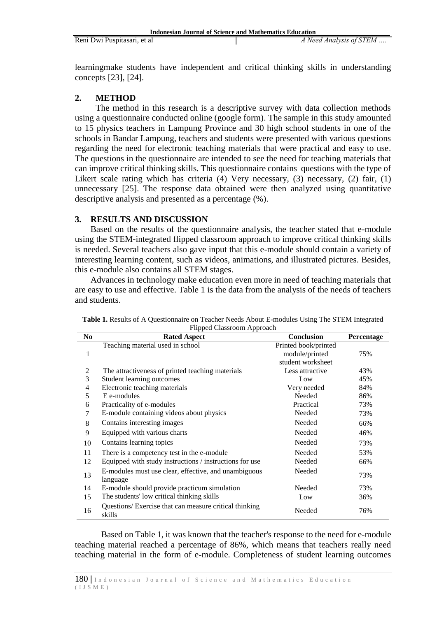learningmake students have independent and critical thinking skills in understanding concepts [23], [24].

# **2. METHOD**

The method in this research is a descriptive survey with data collection methods using a questionnaire conducted online (google form). The sample in this study amounted to 15 physics teachers in Lampung Province and 30 high school students in one of the schools in Bandar Lampung, teachers and students were presented with various questions regarding the need for electronic teaching materials that were practical and easy to use. The questions in the questionnaire are intended to see the need for teaching materials that can improve critical thinking skills. This questionnaire contains questions with the type of Likert scale rating which has criteria (4) Very necessary, (3) necessary, (2) fair, (1) unnecessary [25]. The response data obtained were then analyzed using quantitative descriptive analysis and presented as a percentage (%).

# **3. RESULTS AND DISCUSSION**

Based on the results of the questionnaire analysis, the teacher stated that e-module using the STEM-integrated flipped classroom approach to improve critical thinking skills is needed. Several teachers also gave input that this e-module should contain a variety of interesting learning content, such as videos, animations, and illustrated pictures. Besides, this e-module also contains all STEM stages.

Advances in technology make education even more in need of teaching materials that are easy to use and effective. Table 1 is the data from the analysis of the needs of teachers and students.

|                | Filipped Classitooni Approach                                    |                      |            |
|----------------|------------------------------------------------------------------|----------------------|------------|
| N <sub>0</sub> | <b>Rated Aspect</b>                                              | Conclusion           | Percentage |
|                | Teaching material used in school                                 | Printed book/printed |            |
| 1              |                                                                  | module/printed       | 75%        |
|                |                                                                  | student worksheet    |            |
| 2              | The attractiveness of printed teaching materials                 | Less attractive      | 43%        |
| 3              | Student learning outcomes                                        | Low                  | 45%        |
| $\overline{4}$ | Electronic teaching materials                                    | Very needed          | 84%        |
| 5              | E e-modules                                                      | Needed               | 86%        |
| 6              | Practicality of e-modules                                        | Practical            | 73%        |
| 7              | E-module containing videos about physics                         | Needed               | 73%        |
| 8              | Contains interesting images                                      | Needed               | 66%        |
| 9              | Equipped with various charts                                     | Needed               | 46%        |
| 10             | Contains learning topics                                         | Needed               | 73%        |
| 11             | There is a competency test in the e-module                       | Needed               | 53%        |
| 12             | Equipped with study instructions / instructions for use          | Needed               | 66%        |
| 13             | E-modules must use clear, effective, and unambiguous             | Needed               | 73%        |
|                | language                                                         |                      |            |
| 14             | E-module should provide practicum simulation                     | Needed               | 73%        |
| 15             | The students' low critical thinking skills                       | Low                  | 36%        |
| 16             | Questions/ Exercise that can measure critical thinking<br>skills | Needed               | 76%        |

**Table 1.** Results of A Questionnaire on Teacher Needs About E-modules Using The STEM Integrated Flipped Classroom Approach

Based on Table 1, it was known that the teacher's response to the need for e-module teaching material reached a percentage of 86%, which means that teachers really need teaching material in the form of e-module. Completeness of student learning outcomes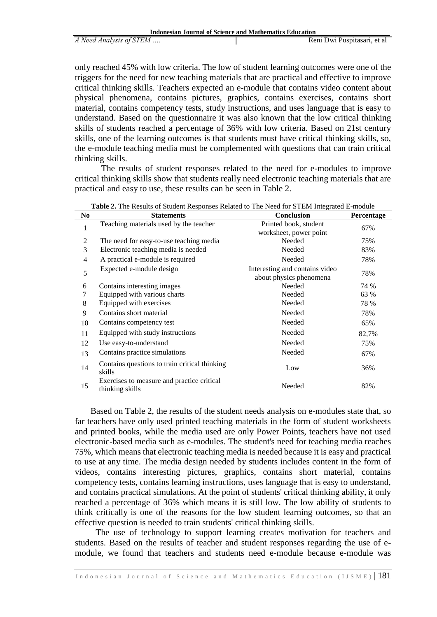| <b>Indonesian Journal of Science and Mathematics Education</b> |                             |  |  |
|----------------------------------------------------------------|-----------------------------|--|--|
| A Need Analysis of STEM                                        | Reni Dwi Puspitasari, et al |  |  |

only reached 45% with low criteria. The low of student learning outcomes were one of the triggers for the need for new teaching materials that are practical and effective to improve critical thinking skills. Teachers expected an e-module that contains video content about physical phenomena, contains pictures, graphics, contains exercises, contains short material, contains competency tests, study instructions, and uses language that is easy to understand. Based on the questionnaire it was also known that the low critical thinking skills of students reached a percentage of 36% with low criteria. Based on 21st century skills, one of the learning outcomes is that students must have critical thinking skills, so, the e-module teaching media must be complemented with questions that can train critical thinking skills.

The results of student responses related to the need for e-modules to improve critical thinking skills show that students really need electronic teaching materials that are practical and easy to use, these results can be seen in Table 2.

| N <sub>0</sub> | <b>Table 2.</b> The Results of Buddhi Responses Related to The Field for BTEM Hitegrated E module<br><b>Statements</b> | Conclusion                                                | Percentage |
|----------------|------------------------------------------------------------------------------------------------------------------------|-----------------------------------------------------------|------------|
| 1              | Teaching materials used by the teacher                                                                                 | Printed book, student<br>worksheet, power point           | 67%        |
| $\overline{2}$ | The need for easy-to-use teaching media                                                                                | Needed                                                    | 75%        |
| 3              | Electronic teaching media is needed                                                                                    | Needed                                                    | 83%        |
| $\overline{4}$ | A practical e-module is required                                                                                       | Needed                                                    | 78%        |
| 5              | Expected e-module design                                                                                               | Interesting and contains video<br>about physics phenomena | 78%        |
| 6              | Contains interesting images                                                                                            | Needed                                                    | 74 %       |
| 7              | Equipped with various charts                                                                                           | Needed                                                    | 63 %       |
| 8              | Equipped with exercises                                                                                                | Needed                                                    | 78 %       |
| 9              | Contains short material                                                                                                | Needed                                                    | 78%        |
| 10             | Contains competency test                                                                                               | Needed                                                    | 65%        |
| 11             | Equipped with study instructions                                                                                       | Needed                                                    | 82,7%      |
| 12             | Use easy-to-understand                                                                                                 | Needed                                                    | 75%        |
| 13             | Contains practice simulations                                                                                          | Needed                                                    | 67%        |
| 14             | Contains questions to train critical thinking<br>skills                                                                | Low                                                       | 36%        |
| 15             | Exercises to measure and practice critical<br>thinking skills                                                          | Needed                                                    | 82%        |

**Table 2.** The Results of Student Responses Related to The Need for STEM Integrated E-module

Based on Table 2, the results of the student needs analysis on e-modules state that, so far teachers have only used printed teaching materials in the form of student worksheets and printed books, while the media used are only Power Points, teachers have not used electronic-based media such as e-modules. The student's need for teaching media reaches 75%, which means that electronic teaching media is needed because it is easy and practical to use at any time. The media design needed by students includes content in the form of videos, contains interesting pictures, graphics, contains short material, contains competency tests, contains learning instructions, uses language that is easy to understand, and contains practical simulations. At the point of students' critical thinking ability, it only reached a percentage of 36% which means it is still low. The low ability of students to think critically is one of the reasons for the low student learning outcomes, so that an effective question is needed to train students' critical thinking skills.

The use of technology to support learning creates motivation for teachers and students. Based on the results of teacher and student responses regarding the use of emodule, we found that teachers and students need e-module because e-module was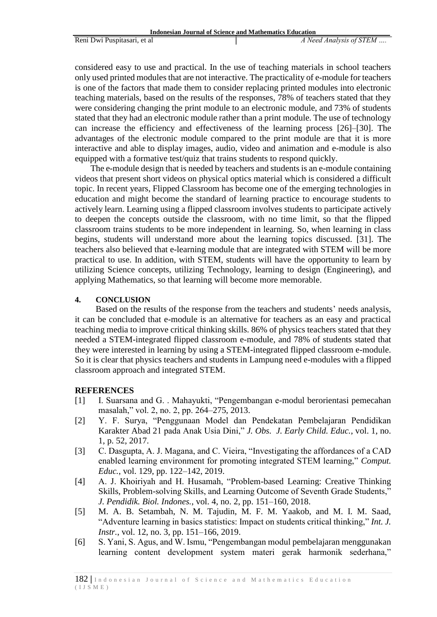considered easy to use and practical. In the use of teaching materials in school teachers only used printed modules that are not interactive. The practicality of e-module for teachers is one of the factors that made them to consider replacing printed modules into electronic teaching materials, based on the results of the responses, 78% of teachers stated that they were considering changing the print module to an electronic module, and 73% of students stated that they had an electronic module rather than a print module. The use of technology can increase the efficiency and effectiveness of the learning process [26]–[30]. The advantages of the electronic module compared to the print module are that it is more interactive and able to display images, audio, video and animation and e-module is also equipped with a formative test/quiz that trains students to respond quickly.

The e-module design that is needed by teachers and students is an e-module containing videos that present short videos on physical optics material which is considered a difficult topic. In recent years, Flipped Classroom has become one of the emerging technologies in education and might become the standard of learning practice to encourage students to actively learn. Learning using a flipped classroom involves students to participate actively to deepen the concepts outside the classroom, with no time limit, so that the flipped classroom trains students to be more independent in learning. So, when learning in class begins, students will understand more about the learning topics discussed. [31]. The teachers also believed that e-learning module that are integrated with STEM will be more practical to use. In addition, with STEM, students will have the opportunity to learn by utilizing Science concepts, utilizing Technology, learning to design (Engineering), and applying Mathematics, so that learning will become more memorable.

# **4. CONCLUSION**

Based on the results of the response from the teachers and students' needs analysis, it can be concluded that e-module is an alternative for teachers as an easy and practical teaching media to improve critical thinking skills. 86% of physics teachers stated that they needed a STEM-integrated flipped classroom e-module, and 78% of students stated that they were interested in learning by using a STEM-integrated flipped classroom e-module. So it is clear that physics teachers and students in Lampung need e-modules with a flipped classroom approach and integrated STEM.

# **REFERENCES**

- [1] I. Suarsana and G. . Mahayukti, "Pengembangan e-modul berorientasi pemecahan masalah," vol. 2, no. 2, pp. 264–275, 2013.
- [2] Y. F. Surya, "Penggunaan Model dan Pendekatan Pembelajaran Pendidikan Karakter Abad 21 pada Anak Usia Dini," *J. Obs. J. Early Child. Educ.*, vol. 1, no. 1, p. 52, 2017.
- [3] C. Dasgupta, A. J. Magana, and C. Vieira, "Investigating the affordances of a CAD enabled learning environment for promoting integrated STEM learning," *Comput. Educ.*, vol. 129, pp. 122–142, 2019.
- [4] A. J. Khoiriyah and H. Husamah, "Problem-based Learning: Creative Thinking Skills, Problem-solving Skills, and Learning Outcome of Seventh Grade Students," *J. Pendidik. Biol. Indones.*, vol. 4, no. 2, pp. 151–160, 2018.
- [5] M. A. B. Setambah, N. M. Tajudin, M. F. M. Yaakob, and M. I. M. Saad, "Adventure learning in basics statistics: Impact on students critical thinking," *Int. J. Instr.*, vol. 12, no. 3, pp. 151–166, 2019.
- [6] S. Yani, S. Agus, and W. Ismu, "Pengembangan modul pembelajaran menggunakan learning content development system materi gerak harmonik sederhana,"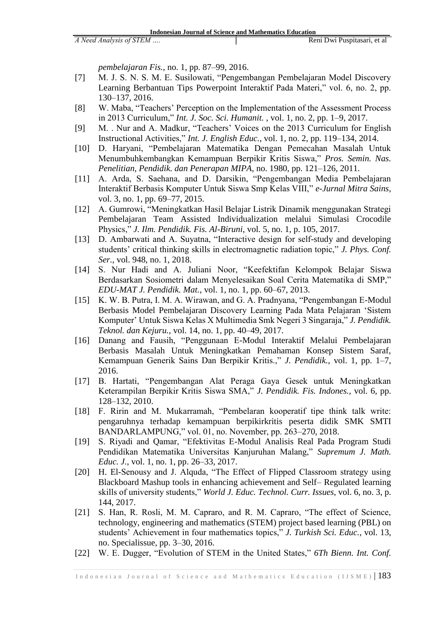*pembelajaran Fis.*, no. 1, pp. 87–99, 2016.

- [7] M. J. S. N. S. M. E. Susilowati, "Pengembangan Pembelajaran Model Discovery Learning Berbantuan Tips Powerpoint Interaktif Pada Materi," vol. 6, no. 2, pp. 130–137, 2016.
- [8] W. Maba, "Teachers' Perception on the Implementation of the Assessment Process in 2013 Curriculum," *Int. J. Soc. Sci. Humanit.* , vol. 1, no. 2, pp. 1–9, 2017.
- [9] M. . Nur and A. Madkur, "Teachers' Voices on the 2013 Curriculum for English Instructional Activities," *Int. J. English Educ.*, vol. 1, no. 2, pp. 119–134, 2014.
- [10] D. Haryani, "Pembelajaran Matematika Dengan Pemecahan Masalah Untuk Menumbuhkembangkan Kemampuan Berpikir Kritis Siswa," *Pros. Semin. Nas. Penelitian, Pendidik. dan Penerapan MIPA*, no. 1980, pp. 121–126, 2011.
- [11] A. Arda, S. Saehana, and D. Darsikin, "Pengembangan Media Pembelajaran Interaktif Berbasis Komputer Untuk Siswa Smp Kelas VIII," *e-Jurnal Mitra Sains*, vol. 3, no. 1, pp. 69–77, 2015.
- [12] A. Gumrowi, "Meningkatkan Hasil Belajar Listrik Dinamik menggunakan Strategi Pembelajaran Team Assisted Individualization melalui Simulasi Crocodile Physics," *J. Ilm. Pendidik. Fis. Al-Biruni*, vol. 5, no. 1, p. 105, 2017.
- [13] D. Ambarwati and A. Suyatna, "Interactive design for self-study and developing students' critical thinking skills in electromagnetic radiation topic," *J. Phys. Conf. Ser.*, vol. 948, no. 1, 2018.
- [14] S. Nur Hadi and A. Juliani Noor, "Keefektifan Kelompok Belajar Siswa Berdasarkan Sosiometri dalam Menyelesaikan Soal Cerita Matematika di SMP," *EDU-MAT J. Pendidik. Mat.*, vol. 1, no. 1, pp. 60–67, 2013.
- [15] K. W. B. Putra, I. M. A. Wirawan, and G. A. Pradnyana, "Pengembangan E-Modul Berbasis Model Pembelajaran Discovery Learning Pada Mata Pelajaran 'Sistem Komputer' Untuk Siswa Kelas X Multimedia Smk Negeri 3 Singaraja," *J. Pendidik. Teknol. dan Kejuru.*, vol. 14, no. 1, pp. 40–49, 2017.
- [16] Danang and Fausih, "Penggunaan E-Modul Interaktif Melalui Pembelajaran Berbasis Masalah Untuk Meningkatkan Pemahaman Konsep Sistem Saraf, Kemampuan Generik Sains Dan Berpikir Kritis.," *J. Pendidik.*, vol. 1, pp. 1–7, 2016.
- [17] B. Hartati, "Pengembangan Alat Peraga Gaya Gesek untuk Meningkatkan Keterampilan Berpikir Kritis Siswa SMA," *J. Pendidik. Fis. Indones.*, vol. 6, pp. 128–132, 2010.
- [18] F. Ririn and M. Mukarramah, "Pembelaran kooperatif tipe think talk write: pengaruhnya terhadap kemampuan berpikirkritis peserta didik SMK SMTI BANDARLAMPUNG," vol. 01, no. November, pp. 263–270, 2018.
- [19] S. Riyadi and Qamar, "Efektivitas E-Modul Analisis Real Pada Program Studi Pendidikan Matematika Universitas Kanjuruhan Malang," *Supremum J. Math. Educ. J.*, vol. 1, no. 1, pp. 26–33, 2017.
- [20] H. El-Senousy and J. Alquda, "The Effect of Flipped Classroom strategy using Blackboard Mashup tools in enhancing achievement and Self– Regulated learning skills of university students," *World J. Educ. Technol. Curr. Issues*, vol. 6, no. 3, p. 144, 2017.
- [21] S. Han, R. Rosli, M. M. Capraro, and R. M. Capraro, "The effect of Science, technology, engineering and mathematics (STEM) project based learning (PBL) on students' Achievement in four mathematics topics," *J. Turkish Sci. Educ.*, vol. 13, no. Specialissue, pp. 3–30, 2016.
- [22] W. E. Dugger, "Evolution of STEM in the United States," *6Th Bienn. Int. Conf.*